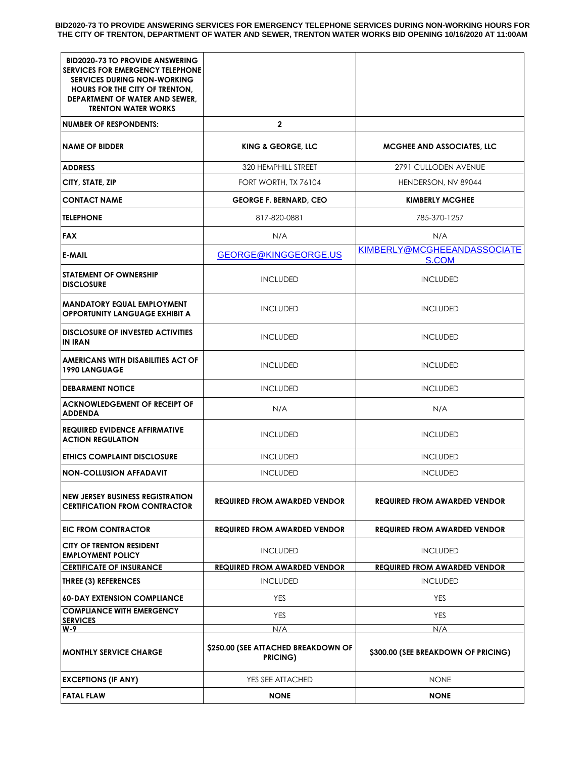**BID2020-73 TO PROVIDE ANSWERING SERVICES FOR EMERGENCY TELEPHONE SERVICES DURING NON-WORKING HOURS FOR THE CITY OF TRENTON, DEPARTMENT OF WATER AND SEWER, TRENTON WATER WORKS BID OPENING 10/16/2020 AT 11:00AM**

| <b>BID2020-73 TO PROVIDE ANSWERING</b><br><b>SERVICES FOR EMERGENCY TELEPHONE</b>                             |                                                 |                                      |
|---------------------------------------------------------------------------------------------------------------|-------------------------------------------------|--------------------------------------|
| <b>SERVICES DURING NON-WORKING</b><br><b>HOURS FOR THE CITY OF TRENTON,</b><br>DEPARTMENT OF WATER AND SEWER, |                                                 |                                      |
| <b>TRENTON WATER WORKS</b>                                                                                    |                                                 |                                      |
| <b>NUMBER OF RESPONDENTS:</b>                                                                                 | $\mathbf 2$                                     |                                      |
| <b>NAME OF BIDDER</b>                                                                                         | <b>KING &amp; GEORGE, LLC</b>                   | MCGHEE AND ASSOCIATES, LLC           |
| <b>ADDRESS</b>                                                                                                | 320 HEMPHILL STREET                             | 2791 CULLODEN AVENUE                 |
| CITY, STATE, ZIP                                                                                              | FORT WORTH, TX 76104                            | HENDERSON, NV 89044                  |
| <b>CONTACT NAME</b>                                                                                           | <b>GEORGE F. BERNARD, CEO</b>                   | <b>KIMBERLY MCGHEE</b>               |
| <b>TELEPHONE</b>                                                                                              | 817-820-0881                                    | 785-370-1257                         |
| <b>FAX</b>                                                                                                    | N/A                                             | N/A                                  |
| <b>E-MAIL</b>                                                                                                 | GEORGE@KINGGEORGE.US                            | KIMBERLY@MCGHEEANDASSOCIATE<br>S.COM |
| <b>STATEMENT OF OWNERSHIP</b><br><b>DISCLOSURE</b>                                                            | <b>INCLUDED</b>                                 | <b>INCLUDED</b>                      |
| <b>MANDATORY EQUAL EMPLOYMENT</b><br><b>OPPORTUNITY LANGUAGE EXHIBIT A</b>                                    | <b>INCLUDED</b>                                 | <b>INCLUDED</b>                      |
| <b>DISCLOSURE OF INVESTED ACTIVITIES</b><br><b>IN IRAN</b>                                                    | <b>INCLUDED</b>                                 | <b>INCLUDED</b>                      |
| AMERICANS WITH DISABILITIES ACT OF<br><b>1990 LANGUAGE</b>                                                    | <b>INCLUDED</b>                                 | <b>INCLUDED</b>                      |
| <b>DEBARMENT NOTICE</b>                                                                                       | <b>INCLUDED</b>                                 | <b>INCLUDED</b>                      |
| <b>ACKNOWLEDGEMENT OF RECEIPT OF</b><br><b>ADDENDA</b>                                                        | N/A                                             | N/A                                  |
| <b>REQUIRED EVIDENCE AFFIRMATIVE</b><br><b>ACTION REGULATION</b>                                              | <b>INCLUDED</b>                                 | <b>INCLUDED</b>                      |
| <b>ETHICS COMPLAINT DISCLOSURE</b>                                                                            | <b>INCLUDED</b>                                 | <b>INCLUDED</b>                      |
| <b>NON-COLLUSION AFFADAVIT</b>                                                                                | <b>INCLUDED</b>                                 | <b>INCLUDED</b>                      |
| <b>NEW JERSEY BUSINESS REGISTRATION</b><br><b>CERTIFICATION FROM CONTRACTOR</b>                               | <b>REQUIRED FROM AWARDED VENDOR</b>             | REQUIRED FROM AWARDED VENDOR         |
| EIC FROM CONTRACTOR                                                                                           | <b>REQUIRED FROM AWARDED VENDOR</b>             | <b>REQUIRED FROM AWARDED VENDOR</b>  |
| <b>CITY OF TRENTON RESIDENT</b><br><b>EMPLOYMENT POLICY</b>                                                   | <b>INCLUDED</b>                                 | <b>INCLUDED</b>                      |
| <b>CERTIFICATE OF INSURANCE</b>                                                                               | <b>REQUIRED FROM AWARDED VENDOR</b>             | <b>REQUIRED FROM AWARDED VENDOR</b>  |
| <b>THREE (3) REFERENCES</b>                                                                                   | <b>INCLUDED</b>                                 | <b>INCLUDED</b>                      |
| <b>60-DAY EXTENSION COMPLIANCE</b>                                                                            | <b>YES</b>                                      | <b>YES</b>                           |
| <b>COMPLIANCE WITH EMERGENCY</b><br><b>SERVICES</b>                                                           | <b>YES</b>                                      | <b>YES</b>                           |
| W-9                                                                                                           | N/A                                             | N/A                                  |
| <b>MONTHLY SERVICE CHARGE</b>                                                                                 | \$250.00 (SEE ATTACHED BREAKDOWN OF<br>PRICING) | \$300.00 (SEE BREAKDOWN OF PRICING)  |
| <b>EXCEPTIONS (IF ANY)</b>                                                                                    | YES SEE ATTACHED                                | <b>NONE</b>                          |
| <b>FATAL FLAW</b>                                                                                             | <b>NONE</b>                                     | <b>NONE</b>                          |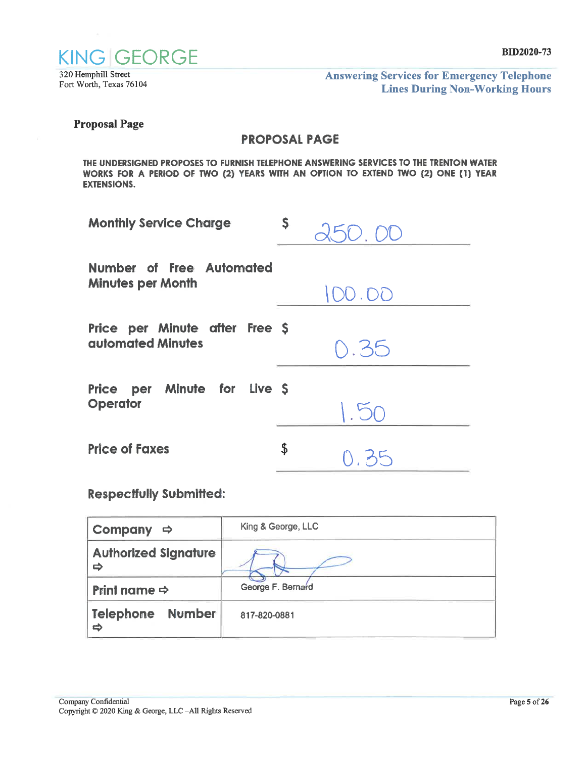

320 Hemphill Street Fort Worth, Texas 76104 **Answering Services for Emergency Telephone Lines During Non-Working Hours** 

**Proposal Page** 

## **PROPOSAL PAGE**

THE UNDERSIGNED PROPOSES TO FURNISH TELEPHONE ANSWERING SERVICES TO THE TRENTON WATER WORKS FOR A PERIOD OF TWO (2) YEARS WITH AN OPTION TO EXTEND TWO (2) ONE (1) YEAR **EXTENSIONS.** 

| <b>Monthly Service Charge</b>                        | Ş.<br>250.00 |
|------------------------------------------------------|--------------|
| Number of Free Automated<br><b>Minutes per Month</b> | 100.00       |
| Price per Minute after Free \$<br>automated Minutes  | 0.35         |
| Price per Minute for Live \$<br><b>Operator</b>      | 1.50         |
| <b>Price of Faxes</b>                                | \$<br>0.35   |

## **Respectfully Submitted:**

| Company $\Rightarrow$            | King & George, LLC |
|----------------------------------|--------------------|
| <b>Authorized Signature</b><br>ò |                    |
| Print name $\Rightarrow$         | George F. Bernard  |
| Number<br><b>Telephone</b><br>⇨  | 817-820-0881       |